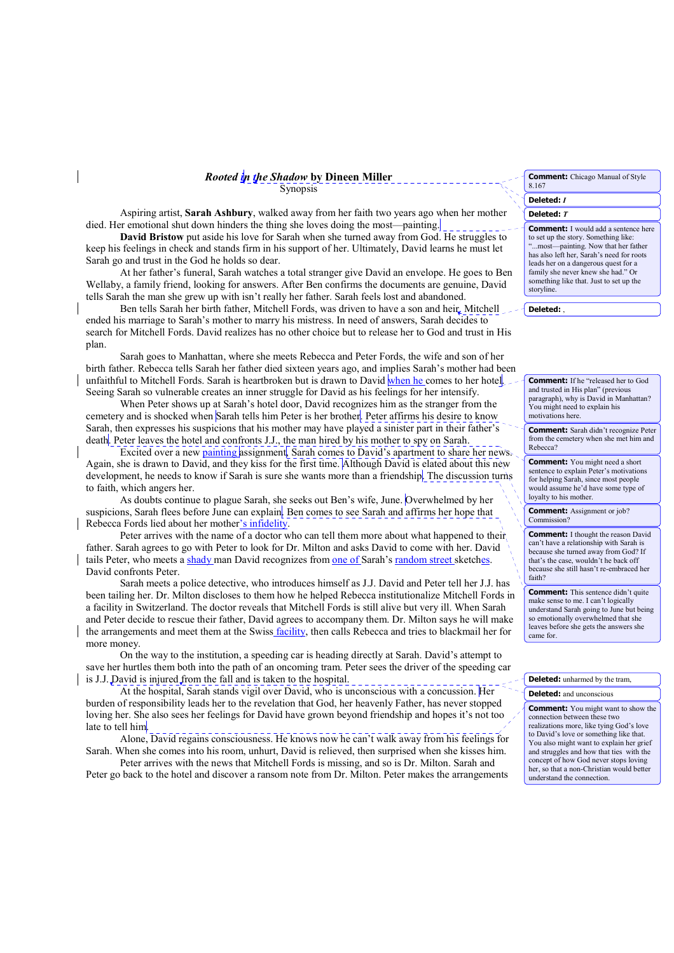Rooted in the Shadow by Dineen Miller

Aspiring artist, Sarah Ashbury, walked away from her faith two years ago when her mother died. Her emotional shut down hinders the thing she loves doing the most—painting.

David Bristow put aside his love for Sarah when she turned away from God. He struggles to keep his feelings in check and stands firm in his support of her. Ultimately, David learns he must let Sarah go and trust in the God he holds so dear.

At her father's funeral, Sarah watches a total stranger give David an envelope. He goes to Ben Wellaby, a family friend, looking for answers. After Ben confirms the documents are genuine, David tells Sarah the man she grew up with isn't really her father. Sarah feels lost and abandoned.

Ben tells Sarah her birth father, Mitchell Fords, was driven to have a son and heir. Mitchell ended his marriage to Sarah's mother to marry his mistress. In need of answers, Sarah decides to search for Mitchell Fords. David realizes has no other choice but to release her to God and trust in His plan.

Sarah goes to Manhattan, where she meets Rebecca and Peter Fords, the wife and son of her birth father. Rebecca tells Sarah her father died sixteen years ago, and implies Sarah's mother had been unfaithful to Mitchell Fords. Sarah is heartbroken but is drawn to David when he comes to her hotel. Seeing Sarah so vulnerable creates an inner struggle for David as his feelings for her intensify.

When Peter shows up at Sarah's hotel door. David recognizes him as the stranger from the cemetery and is shocked when Sarah tells him Peter is her brother. Peter affirms his desire to know Sarah, then expresses his suspicions that his mother may have played a sinister part in their father's death. Peter leaves the hotel and confronts J.J., the man hired by his mother to spy on Sarah.

Excited over a new <u>painting</u> assignment. Sarah comes to David's apartment to share her news. Again, she is drawn to David, and they kiss for the first time. Although David is elated about this new development, he needs to know if Sarah is sure she wants more than a friendship. The discussion turns to faith, which angers her.

As doubts continue to plague Sarah, she seeks out Ben's wife, June. Overwhelmed by her suspicions, Sarah flees before June can explain. Ben comes to see Sarah and affirms her hope that Rebecca Fords lied about her mother's infidelity.

Peter arrives with the name of a doctor who can tell them more about what happened to their, father. Sarah agrees to go with Peter to look for Dr. Milton and asks David to come with her. David tails Peter, who meets a shady man David recognizes from one of Sarah's random street sketches. David confronts Peter.

Sarah meets a police detective, who introduces himself as J.J. David and Peter tell her J.J. has been tailing her. Dr. Milton discloses to them how he helped Rebecca institutionalize Mitchell Fords in a facility in Switzerland. The doctor reveals that Mitchell Fords is still alive but very ill. When Sarah and Peter decide to rescue their father, David agrees to accompany them. Dr. Milton says he will make the arrangements and meet them at the Swiss facility, then calls Rebecca and tries to blackmail her for more money.

On the way to the institution, a speeding car is heading directly at Sarah. David's attempt to save her hurtles them both into the path of an oncoming tram. Peter sees the driver of the speeding car is J.J. David is injured from the fall and is taken to the hospital.

At the hospital, Sarah stands vigil over David, who is unconscious with a concussion. Her burden of responsibility leads her to the revelation that God, her heavenly Father, has never stopped loving her. She also sees her feelings for David have grown beyond friendship and hopes it's not too late to tell him.

Alone, David regains consciousness. He knows now he can't walk away from his feelings for Sarah. When she comes into his room, unhurt, David is relieved, then surprised when she kisses him.

Peter arrives with the news that Mitchell Fords is missing, and so is Dr. Milton. Sarah and Peter go back to the hotel and discover a ransom note from Dr. Milton. Peter makes the arrangements

| 8.167 |  |
|-------|--|
|       |  |

## Deleted: / Deleted: T

**Comment:** I would add a sentence here to set up the story. Something like: "...most-painting. Now that her father has also left her, Sarah's need for roots leads her on a dangerous quest for a family she never knew she had." Or something like that. Just to set up the storvline.

Deleted:

**Comment:** If he "released her to God and trusted in His plan" (previous paragraph), why is David in Manhattan? You might need to explain his motivations here.

**Comment:** Sarah didn't recognize Peter from the cemetery when she met him and Rebecca?

**Comment:** You might need a short sentence to explain Peter's motivations for helping Sarah, since most people would assume he'd have some type of lovalty to his mother

**Comment:** Assignment or job? Commission?

**Comment:** I thought the reason David can't have a relationship with Sarah is because she turned away from God? If that's the case, wouldn't he back off because she still hasn't re-embraced her faith?

**Comment:** This sentence didn't quite make sense to me. I can't logically understand Sarah going to June but being so emotionally overwhelmed that she leaves before she gets the answers she came for.

## **Deleted:** unharmed by the tram.

## **Deleted:** and unconscious

**Comment:** You might want to show the connection between these two realizations more, like tying God's love to David's love or something like that. You also might want to explain her grief and struggles and how that ties with the concept of how God never stops loving her, so that a non-Christian would better understand the connection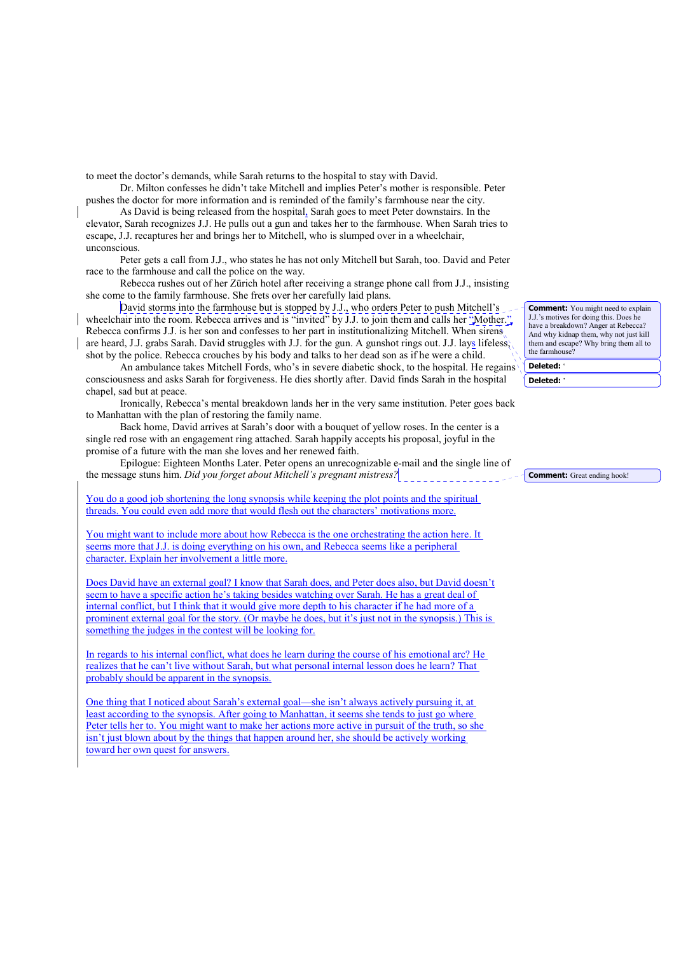to meet the doctor's demands, while Sarah returns to the hospital to stay with David.

Dr. Milton confesses he didn't take Mitchell and implies Peter's mother is responsible. Peter pushes the doctor for more information and is reminded of the family's farmhouse near the city.

As David is being released from the hospital, Sarah goes to meet Peter downstairs. In the elevator, Sarah recognizes J.J. He pulls out a gun and takes her to the farmhouse. When Sarah tries to escape, J.J. recaptures her and brings her to Mitchell, who is slumped over in a wheelchair, unconscious

Peter gets a call from J.J., who states he has not only Mitchell but Sarah, too. David and Peter race to the farmhouse and call the police on the way.

Rebecca rushes out of her Zürich hotel after receiving a strange phone call from J.J., insisting she come to the family farmhouse. She frets over her carefully laid plans.

David storms into the farmhouse but is stopped by J.J., who orders Peter to push Mitchell's wheelchair into the room. Rebecca arrives and is "invited" by  $\overline{J}$ . I. to join them and calls her "Mother." Rebecca confirms J.J. is her son and confesses to her part in institutionalizing Mitchell. When sirens are heard, J.J. grabs Sarah. David struggles with J.J. for the gun. A gunshot rings out. J.J. lays lifeless. shot by the police. Rebecca crouches by his body and talks to her dead son as if he were a child.

An ambulance takes Mitchell Fords, who's in severe diabetic shock, to the hospital. He regains consciousness and asks Sarah for forgiveness. He dies shortly after. David finds Sarah in the hospital chapel, sad but at peace.

Ironically, Rebecca's mental breakdown lands her in the very same institution. Peter goes back to Manhattan with the plan of restoring the family name.

Back home, David arrives at Sarah's door with a bouquet of yellow roses. In the center is a single red rose with an engagement ring attached. Sarah happily accepts his proposal, joyful in the promise of a future with the man she loves and her renewed faith.

Epilogue: Eighteen Months Later. Peter opens an unrecognizable e-mail and the single line of the message stuns him. Did you forget about Mitchell's pregnant mistress?

You do a good job shortening the long synopsis while keeping the plot points and the spiritual threads. You could even add more that would flesh out the characters' motivations more.

You might want to include more about how Rebecca is the one orchestrating the action here. It seems more that J.J. is doing everything on his own, and Rebecca seems like a peripheral character. Explain her involvement a little more.

Does David have an external goal? I know that Sarah does and Peter does also but David doesn't seem to have a specific action he's taking besides watching over Sarah. He has a great deal of internal conflict, but I think that it would give more depth to his character if he had more of a prominent external goal for the story. (Or maybe he does, but it's just not in the synopsis.) This is something the judges in the contest will be looking for.

In regards to his internal conflict, what does he learn during the course of his emotional arc? He realizes that he can't live without Sarah, but what personal internal lesson does he learn? That probably should be apparent in the synopsis.

One thing that I noticed about Sarah's external goal—she isn't always actively pursuing it, at least according to the synopsis. After going to Manhattan, it seems she tends to just go where Peter tells her to. You might want to make her actions more active in pursuit of the truth, so she isn't just blown about by the things that happen around her, she should be actively working toward her own quest for answers.

**Comment:** You might need to explain J.J.'s motives for doing this. Does he have a breakdown? Anger at Rebecca? And why kidnap them, why not just kill them and escape? Why bring them all to the farmhouse? Deleted:

Deleted:

**Comment:** Great ending hook!